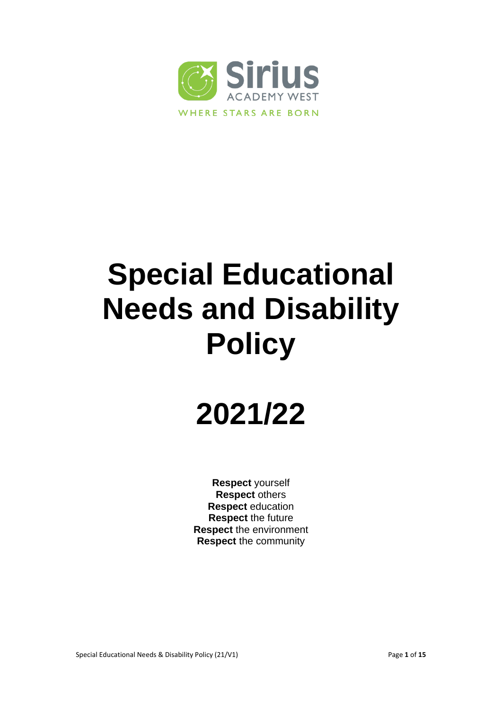

# **Special Educational Needs and Disability Policy**

# **2021/22**

**Respect** yourself **Respect** others **Respect** education **Respect** the future **Respect** the environment **Respect** the community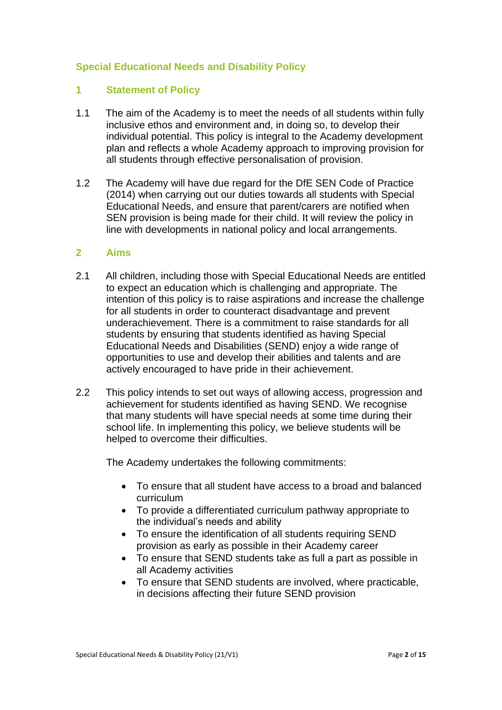### **Special Educational Needs and Disability Policy**

#### **1 Statement of Policy**

- 1.1 The aim of the Academy is to meet the needs of all students within fully inclusive ethos and environment and, in doing so, to develop their individual potential. This policy is integral to the Academy development plan and reflects a whole Academy approach to improving provision for all students through effective personalisation of provision.
- 1.2 The Academy will have due regard for the DfE SEN Code of Practice (2014) when carrying out our duties towards all students with Special Educational Needs, and ensure that parent/carers are notified when SEN provision is being made for their child. It will review the policy in line with developments in national policy and local arrangements.

#### **2 Aims**

- 2.1 All children, including those with Special Educational Needs are entitled to expect an education which is challenging and appropriate. The intention of this policy is to raise aspirations and increase the challenge for all students in order to counteract disadvantage and prevent underachievement. There is a commitment to raise standards for all students by ensuring that students identified as having Special Educational Needs and Disabilities (SEND) enjoy a wide range of opportunities to use and develop their abilities and talents and are actively encouraged to have pride in their achievement.
- 2.2 This policy intends to set out ways of allowing access, progression and achievement for students identified as having SEND. We recognise that many students will have special needs at some time during their school life. In implementing this policy, we believe students will be helped to overcome their difficulties.

The Academy undertakes the following commitments:

- To ensure that all student have access to a broad and balanced curriculum
- To provide a differentiated curriculum pathway appropriate to the individual's needs and ability
- To ensure the identification of all students requiring SEND provision as early as possible in their Academy career
- To ensure that SEND students take as full a part as possible in all Academy activities
- To ensure that SEND students are involved, where practicable, in decisions affecting their future SEND provision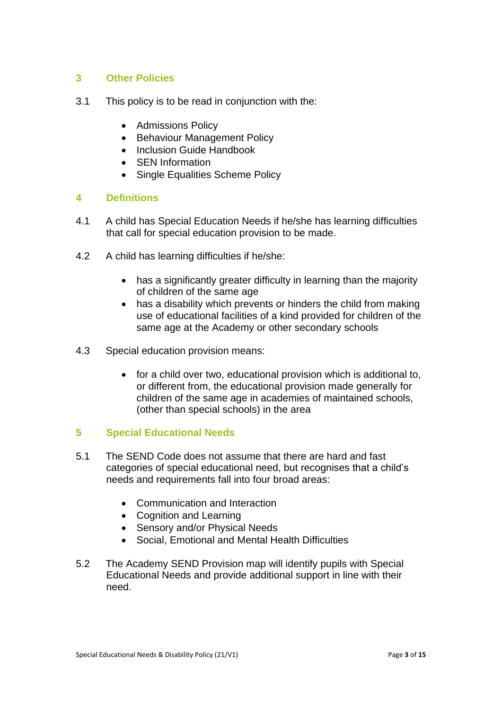### **3 Other Policies**

- 3.1 This policy is to be read in conjunction with the:
	- Admissions Policy
	- Behaviour Management Policy
	- Inclusion Guide Handbook
	- SEN Information
	- Single Equalities Scheme Policy

#### **4 Definitions**

- 4.1 A child has Special Education Needs if he/she has learning difficulties that call for special education provision to be made.
- 4.2 A child has learning difficulties if he/she:
	- has a significantly greater difficulty in learning than the majority of children of the same age
	- has a disability which prevents or hinders the child from making use of educational facilities of a kind provided for children of the same age at the Academy or other secondary schools
- 4.3 Special education provision means:
	- for a child over two, educational provision which is additional to, or different from, the educational provision made generally for children of the same age in academies of maintained schools, (other than special schools) in the area

#### **5 Special Educational Needs**

- 5.1 The SEND Code does not assume that there are hard and fast categories of special educational need, but recognises that a child's needs and requirements fall into four broad areas:
	- Communication and Interaction
	- Cognition and Learning
	- Sensory and/or Physical Needs
	- Social, Emotional and Mental Health Difficulties
- 5.2 The Academy SEND Provision map will identify pupils with Special Educational Needs and provide additional support in line with their need.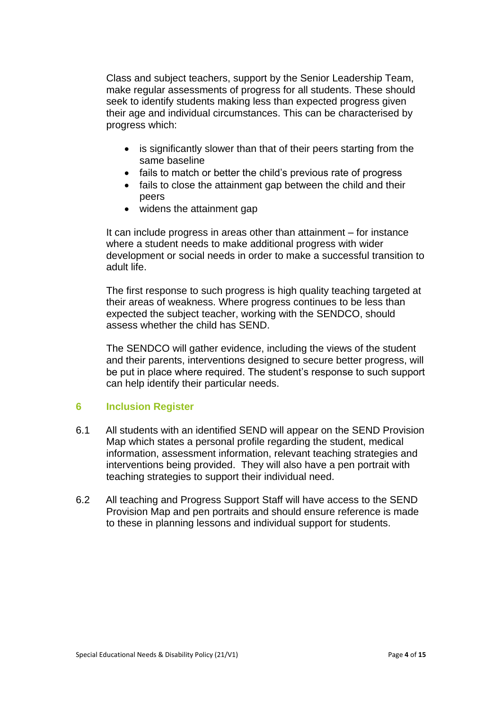Class and subject teachers, support by the Senior Leadership Team, make regular assessments of progress for all students. These should seek to identify students making less than expected progress given their age and individual circumstances. This can be characterised by progress which:

- is significantly slower than that of their peers starting from the same baseline
- fails to match or better the child's previous rate of progress
- fails to close the attainment gap between the child and their peers
- widens the attainment gap

It can include progress in areas other than attainment – for instance where a student needs to make additional progress with wider development or social needs in order to make a successful transition to adult life.

The first response to such progress is high quality teaching targeted at their areas of weakness. Where progress continues to be less than expected the subject teacher, working with the SENDCO, should assess whether the child has SEND.

The SENDCO will gather evidence, including the views of the student and their parents, interventions designed to secure better progress, will be put in place where required. The student's response to such support can help identify their particular needs.

# **6 Inclusion Register**

- 6.1 All students with an identified SEND will appear on the SEND Provision Map which states a personal profile regarding the student, medical information, assessment information, relevant teaching strategies and interventions being provided. They will also have a pen portrait with teaching strategies to support their individual need.
- 6.2 All teaching and Progress Support Staff will have access to the SEND Provision Map and pen portraits and should ensure reference is made to these in planning lessons and individual support for students.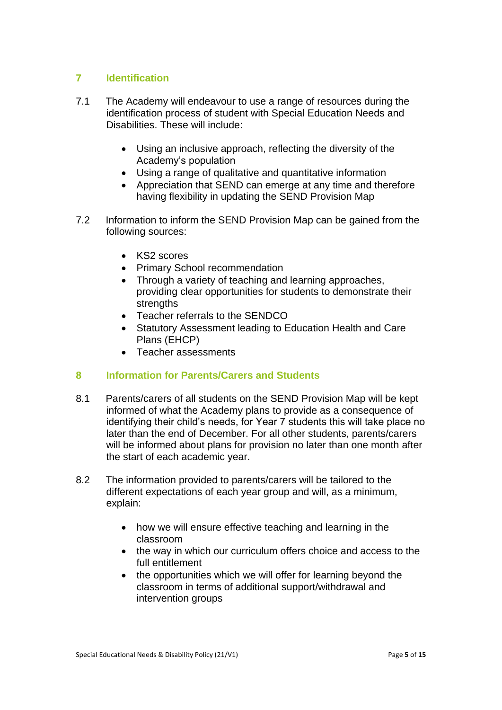#### **7 Identification**

- 7.1 The Academy will endeavour to use a range of resources during the identification process of student with Special Education Needs and Disabilities. These will include:
	- Using an inclusive approach, reflecting the diversity of the Academy's population
	- Using a range of qualitative and quantitative information
	- Appreciation that SEND can emerge at any time and therefore having flexibility in updating the SEND Provision Map
- 7.2 Information to inform the SEND Provision Map can be gained from the following sources:
	- KS2 scores
	- Primary School recommendation
	- Through a variety of teaching and learning approaches, providing clear opportunities for students to demonstrate their strengths
	- Teacher referrals to the SENDCO
	- Statutory Assessment leading to Education Health and Care Plans (EHCP)
	- Teacher assessments

# **8 Information for Parents/Carers and Students**

- 8.1 Parents/carers of all students on the SEND Provision Map will be kept informed of what the Academy plans to provide as a consequence of identifying their child's needs, for Year 7 students this will take place no later than the end of December. For all other students, parents/carers will be informed about plans for provision no later than one month after the start of each academic year.
- 8.2 The information provided to parents/carers will be tailored to the different expectations of each year group and will, as a minimum, explain:
	- how we will ensure effective teaching and learning in the classroom
	- the way in which our curriculum offers choice and access to the full entitlement
	- the opportunities which we will offer for learning beyond the classroom in terms of additional support/withdrawal and intervention groups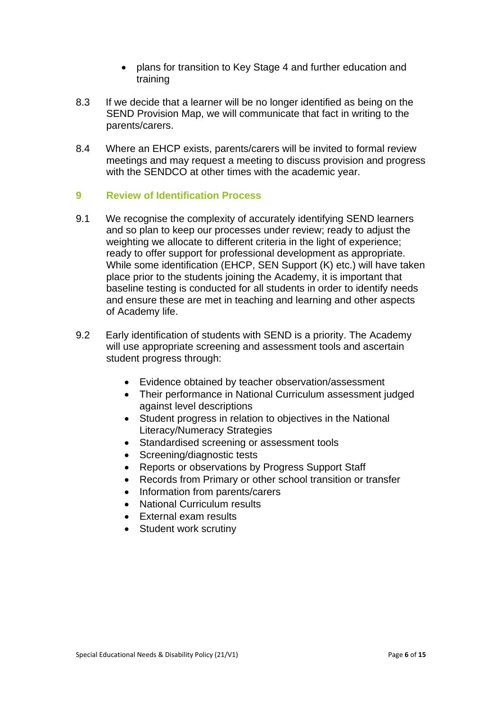- plans for transition to Key Stage 4 and further education and training
- 8.3 If we decide that a learner will be no longer identified as being on the SEND Provision Map, we will communicate that fact in writing to the parents/carers.
- 8.4 Where an EHCP exists, parents/carers will be invited to formal review meetings and may request a meeting to discuss provision and progress with the SENDCO at other times with the academic year.

#### **9 Review of Identification Process**

- 9.1 We recognise the complexity of accurately identifying SEND learners and so plan to keep our processes under review; ready to adjust the weighting we allocate to different criteria in the light of experience; ready to offer support for professional development as appropriate. While some identification (EHCP, SEN Support (K) etc.) will have taken place prior to the students joining the Academy, it is important that baseline testing is conducted for all students in order to identify needs and ensure these are met in teaching and learning and other aspects of Academy life.
- 9.2 Early identification of students with SEND is a priority. The Academy will use appropriate screening and assessment tools and ascertain student progress through:
	- Evidence obtained by teacher observation/assessment
	- Their performance in National Curriculum assessment judged against level descriptions
	- Student progress in relation to objectives in the National Literacy/Numeracy Strategies
	- Standardised screening or assessment tools
	- Screening/diagnostic tests
	- Reports or observations by Progress Support Staff
	- Records from Primary or other school transition or transfer
	- Information from parents/carers
	- National Curriculum results
	- External exam results
	- Student work scrutiny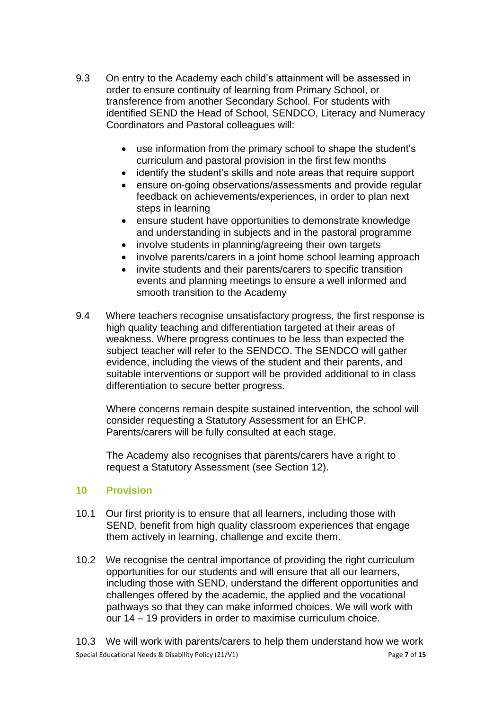- 9.3 On entry to the Academy each child's attainment will be assessed in order to ensure continuity of learning from Primary School, or transference from another Secondary School. For students with identified SEND the Head of School, SENDCO, Literacy and Numeracy Coordinators and Pastoral colleagues will:
	- use information from the primary school to shape the student's curriculum and pastoral provision in the first few months
	- identify the student's skills and note areas that require support
	- ensure on-going observations/assessments and provide regular feedback on achievements/experiences, in order to plan next steps in learning
	- ensure student have opportunities to demonstrate knowledge and understanding in subjects and in the pastoral programme
	- involve students in planning/agreeing their own targets
	- involve parents/carers in a joint home school learning approach
	- invite students and their parents/carers to specific transition events and planning meetings to ensure a well informed and smooth transition to the Academy
- 9.4 Where teachers recognise unsatisfactory progress, the first response is high quality teaching and differentiation targeted at their areas of weakness. Where progress continues to be less than expected the subject teacher will refer to the SENDCO. The SENDCO will gather evidence, including the views of the student and their parents, and suitable interventions or support will be provided additional to in class differentiation to secure better progress.

Where concerns remain despite sustained intervention, the school will consider requesting a Statutory Assessment for an EHCP. Parents/carers will be fully consulted at each stage.

The Academy also recognises that parents/carers have a right to request a Statutory Assessment (see Section 12).

#### **10 Provision**

- 10.1 Our first priority is to ensure that all learners, including those with SEND, benefit from high quality classroom experiences that engage them actively in learning, challenge and excite them.
- 10.2 We recognise the central importance of providing the right curriculum opportunities for our students and will ensure that all our learners, including those with SEND, understand the different opportunities and challenges offered by the academic, the applied and the vocational pathways so that they can make informed choices. We will work with our 14 – 19 providers in order to maximise curriculum choice.

Special Educational Needs & Disability Policy (21/V1) Page **7** of **15** 10.3 We will work with parents/carers to help them understand how we work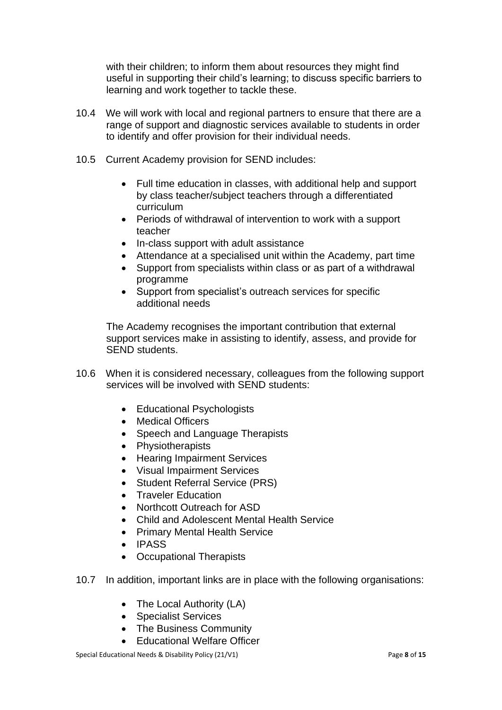with their children; to inform them about resources they might find useful in supporting their child's learning; to discuss specific barriers to learning and work together to tackle these.

- 10.4 We will work with local and regional partners to ensure that there are a range of support and diagnostic services available to students in order to identify and offer provision for their individual needs.
- 10.5 Current Academy provision for SEND includes:
	- Full time education in classes, with additional help and support by class teacher/subject teachers through a differentiated curriculum
	- Periods of withdrawal of intervention to work with a support teacher
	- In-class support with adult assistance
	- Attendance at a specialised unit within the Academy, part time
	- Support from specialists within class or as part of a withdrawal programme
	- Support from specialist's outreach services for specific additional needs

The Academy recognises the important contribution that external support services make in assisting to identify, assess, and provide for SEND students.

- 10.6 When it is considered necessary, colleagues from the following support services will be involved with SEND students:
	- Educational Psychologists
	- Medical Officers
	- Speech and Language Therapists
	- Physiotherapists
	- Hearing Impairment Services
	- Visual Impairment Services
	- Student Referral Service (PRS)
	- Traveler Education
	- Northcott Outreach for ASD
	- Child and Adolescent Mental Health Service
	- Primary Mental Health Service
	- IPASS
	- Occupational Therapists
- 10.7 In addition, important links are in place with the following organisations:
	- The Local Authority (LA)
	- Specialist Services
	- The Business Community
	- Educational Welfare Officer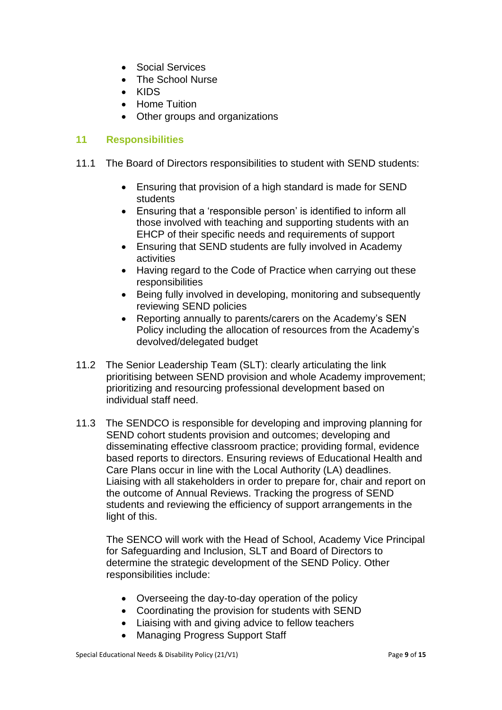- Social Services
- The School Nurse
- KIDS
- Home Tuition
- Other groups and organizations

### **11 Responsibilities**

- 11.1 The Board of Directors responsibilities to student with SEND students:
	- Ensuring that provision of a high standard is made for SEND students
	- Ensuring that a 'responsible person' is identified to inform all those involved with teaching and supporting students with an EHCP of their specific needs and requirements of support
	- Ensuring that SEND students are fully involved in Academy activities
	- Having regard to the Code of Practice when carrying out these responsibilities
	- Being fully involved in developing, monitoring and subsequently reviewing SEND policies
	- Reporting annually to parents/carers on the Academy's SEN Policy including the allocation of resources from the Academy's devolved/delegated budget
- 11.2 The Senior Leadership Team (SLT): clearly articulating the link prioritising between SEND provision and whole Academy improvement; prioritizing and resourcing professional development based on individual staff need.
- 11.3 The SENDCO is responsible for developing and improving planning for SEND cohort students provision and outcomes; developing and disseminating effective classroom practice; providing formal, evidence based reports to directors. Ensuring reviews of Educational Health and Care Plans occur in line with the Local Authority (LA) deadlines. Liaising with all stakeholders in order to prepare for, chair and report on the outcome of Annual Reviews. Tracking the progress of SEND students and reviewing the efficiency of support arrangements in the light of this.

The SENCO will work with the Head of School, Academy Vice Principal for Safeguarding and Inclusion, SLT and Board of Directors to determine the strategic development of the SEND Policy. Other responsibilities include:

- Overseeing the day-to-day operation of the policy
- Coordinating the provision for students with SEND
- Liaising with and giving advice to fellow teachers
- Managing Progress Support Staff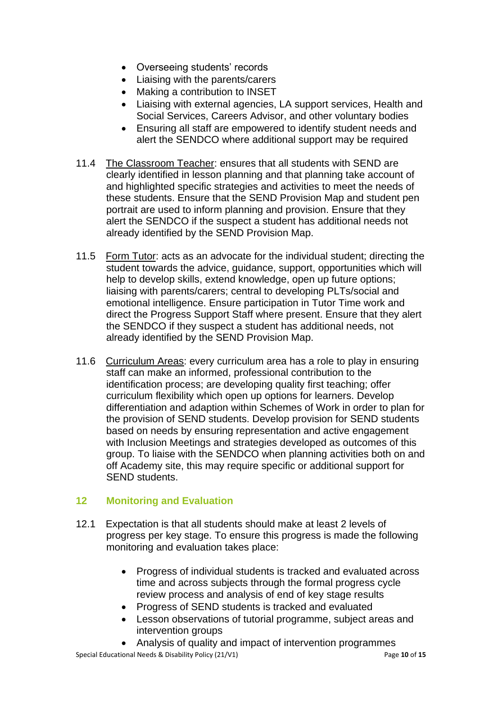- Overseeing students' records
- Liaising with the parents/carers
- Making a contribution to INSET
- Liaising with external agencies, LA support services, Health and Social Services, Careers Advisor, and other voluntary bodies
- Ensuring all staff are empowered to identify student needs and alert the SENDCO where additional support may be required
- 11.4 The Classroom Teacher: ensures that all students with SEND are clearly identified in lesson planning and that planning take account of and highlighted specific strategies and activities to meet the needs of these students. Ensure that the SEND Provision Map and student pen portrait are used to inform planning and provision. Ensure that they alert the SENDCO if the suspect a student has additional needs not already identified by the SEND Provision Map.
- 11.5 Form Tutor: acts as an advocate for the individual student; directing the student towards the advice, guidance, support, opportunities which will help to develop skills, extend knowledge, open up future options; liaising with parents/carers; central to developing PLTs/social and emotional intelligence. Ensure participation in Tutor Time work and direct the Progress Support Staff where present. Ensure that they alert the SENDCO if they suspect a student has additional needs, not already identified by the SEND Provision Map.
- 11.6 Curriculum Areas: every curriculum area has a role to play in ensuring staff can make an informed, professional contribution to the identification process; are developing quality first teaching; offer curriculum flexibility which open up options for learners. Develop differentiation and adaption within Schemes of Work in order to plan for the provision of SEND students. Develop provision for SEND students based on needs by ensuring representation and active engagement with Inclusion Meetings and strategies developed as outcomes of this group. To liaise with the SENDCO when planning activities both on and off Academy site, this may require specific or additional support for SEND students.

# **12 Monitoring and Evaluation**

- 12.1 Expectation is that all students should make at least 2 levels of progress per key stage. To ensure this progress is made the following monitoring and evaluation takes place:
	- Progress of individual students is tracked and evaluated across time and across subjects through the formal progress cycle review process and analysis of end of key stage results
	- Progress of SEND students is tracked and evaluated
	- Lesson observations of tutorial programme, subject areas and intervention groups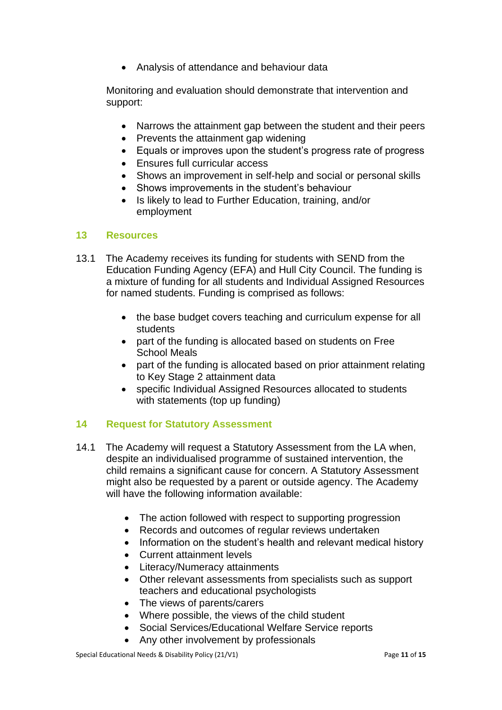Analysis of attendance and behaviour data

Monitoring and evaluation should demonstrate that intervention and support:

- Narrows the attainment gap between the student and their peers
- Prevents the attainment gap widening
- Equals or improves upon the student's progress rate of progress
- Ensures full curricular access
- Shows an improvement in self-help and social or personal skills
- Shows improvements in the student's behaviour
- Is likely to lead to Further Education, training, and/or employment

#### **13 Resources**

- 13.1 The Academy receives its funding for students with SEND from the Education Funding Agency (EFA) and Hull City Council. The funding is a mixture of funding for all students and Individual Assigned Resources for named students. Funding is comprised as follows:
	- the base budget covers teaching and curriculum expense for all students
	- part of the funding is allocated based on students on Free School Meals
	- part of the funding is allocated based on prior attainment relating to Key Stage 2 attainment data
	- specific Individual Assigned Resources allocated to students with statements (top up funding)

# **14 Request for Statutory Assessment**

- 14.1 The Academy will request a Statutory Assessment from the LA when, despite an individualised programme of sustained intervention, the child remains a significant cause for concern. A Statutory Assessment might also be requested by a parent or outside agency. The Academy will have the following information available:
	- The action followed with respect to supporting progression
	- Records and outcomes of regular reviews undertaken
	- Information on the student's health and relevant medical history
	- Current attainment levels
	- Literacy/Numeracy attainments
	- Other relevant assessments from specialists such as support teachers and educational psychologists
	- The views of parents/carers
	- Where possible, the views of the child student
	- Social Services/Educational Welfare Service reports
	- Any other involvement by professionals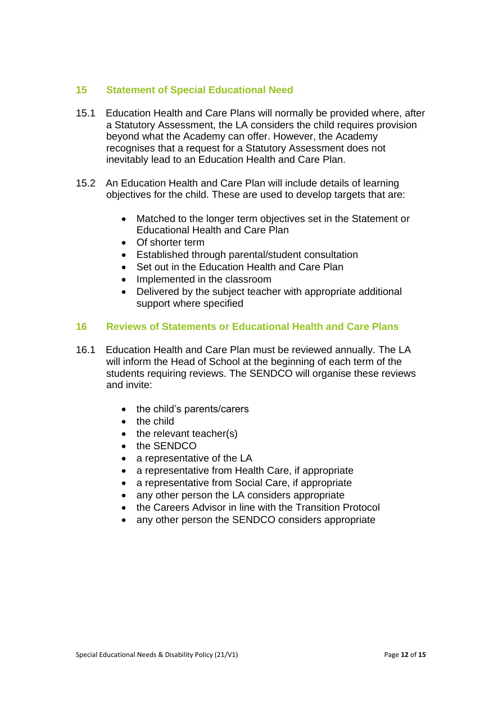#### **15 Statement of Special Educational Need**

- 15.1 Education Health and Care Plans will normally be provided where, after a Statutory Assessment, the LA considers the child requires provision beyond what the Academy can offer. However, the Academy recognises that a request for a Statutory Assessment does not inevitably lead to an Education Health and Care Plan.
- 15.2 An Education Health and Care Plan will include details of learning objectives for the child. These are used to develop targets that are:
	- Matched to the longer term objectives set in the Statement or Educational Health and Care Plan
	- Of shorter term
	- Established through parental/student consultation
	- Set out in the Education Health and Care Plan
	- Implemented in the classroom
	- Delivered by the subject teacher with appropriate additional support where specified

#### **16 Reviews of Statements or Educational Health and Care Plans**

- 16.1 Education Health and Care Plan must be reviewed annually. The LA will inform the Head of School at the beginning of each term of the students requiring reviews. The SENDCO will organise these reviews and invite:
	- the child's parents/carers
	- the child
	- $\bullet$  the relevant teacher(s)
	- the SENDCO
	- a representative of the LA
	- a representative from Health Care, if appropriate
	- a representative from Social Care, if appropriate
	- any other person the LA considers appropriate
	- the Careers Advisor in line with the Transition Protocol
	- any other person the SENDCO considers appropriate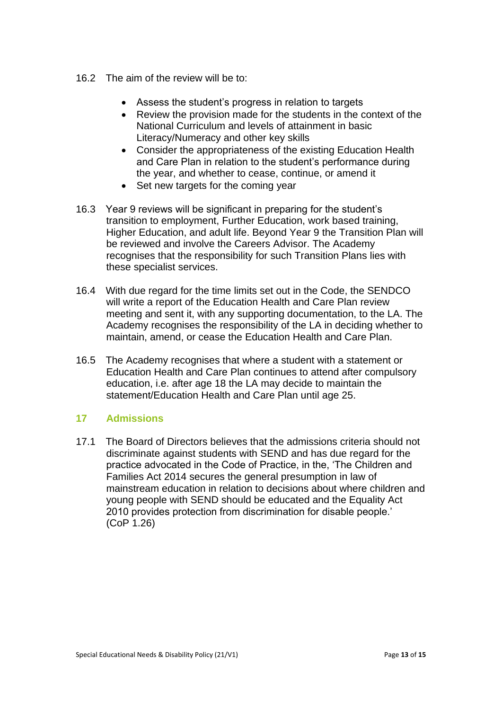- 16.2 The aim of the review will be to:
	- Assess the student's progress in relation to targets
	- Review the provision made for the students in the context of the National Curriculum and levels of attainment in basic Literacy/Numeracy and other key skills
	- Consider the appropriateness of the existing Education Health and Care Plan in relation to the student's performance during the year, and whether to cease, continue, or amend it
	- Set new targets for the coming year
- 16.3 Year 9 reviews will be significant in preparing for the student's transition to employment, Further Education, work based training, Higher Education, and adult life. Beyond Year 9 the Transition Plan will be reviewed and involve the Careers Advisor. The Academy recognises that the responsibility for such Transition Plans lies with these specialist services.
- 16.4 With due regard for the time limits set out in the Code, the SENDCO will write a report of the Education Health and Care Plan review meeting and sent it, with any supporting documentation, to the LA. The Academy recognises the responsibility of the LA in deciding whether to maintain, amend, or cease the Education Health and Care Plan.
- 16.5 The Academy recognises that where a student with a statement or Education Health and Care Plan continues to attend after compulsory education, i.e. after age 18 the LA may decide to maintain the statement/Education Health and Care Plan until age 25.

# **17 Admissions**

17.1 The Board of Directors believes that the admissions criteria should not discriminate against students with SEND and has due regard for the practice advocated in the Code of Practice, in the, 'The Children and Families Act 2014 secures the general presumption in law of mainstream education in relation to decisions about where children and young people with SEND should be educated and the Equality Act 2010 provides protection from discrimination for disable people.' (CoP 1.26)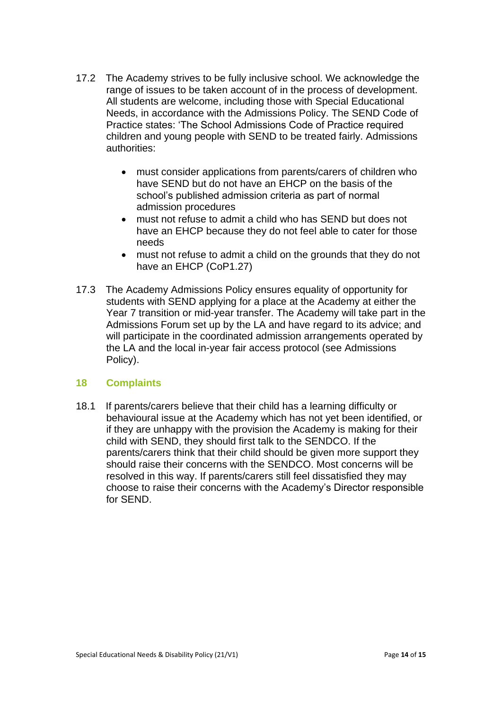- 17.2 The Academy strives to be fully inclusive school. We acknowledge the range of issues to be taken account of in the process of development. All students are welcome, including those with Special Educational Needs, in accordance with the Admissions Policy. The SEND Code of Practice states: 'The School Admissions Code of Practice required children and young people with SEND to be treated fairly. Admissions authorities:
	- must consider applications from parents/carers of children who have SEND but do not have an EHCP on the basis of the school's published admission criteria as part of normal admission procedures
	- must not refuse to admit a child who has SEND but does not have an EHCP because they do not feel able to cater for those needs
	- must not refuse to admit a child on the grounds that they do not have an EHCP (CoP1.27)
- 17.3 The Academy Admissions Policy ensures equality of opportunity for students with SEND applying for a place at the Academy at either the Year 7 transition or mid-year transfer. The Academy will take part in the Admissions Forum set up by the LA and have regard to its advice; and will participate in the coordinated admission arrangements operated by the LA and the local in-year fair access protocol (see Admissions Policy).

#### **18 Complaints**

18.1 If parents/carers believe that their child has a learning difficulty or behavioural issue at the Academy which has not yet been identified, or if they are unhappy with the provision the Academy is making for their child with SEND, they should first talk to the SENDCO. If the parents/carers think that their child should be given more support they should raise their concerns with the SENDCO. Most concerns will be resolved in this way. If parents/carers still feel dissatisfied they may choose to raise their concerns with the Academy's Director responsible for SEND.